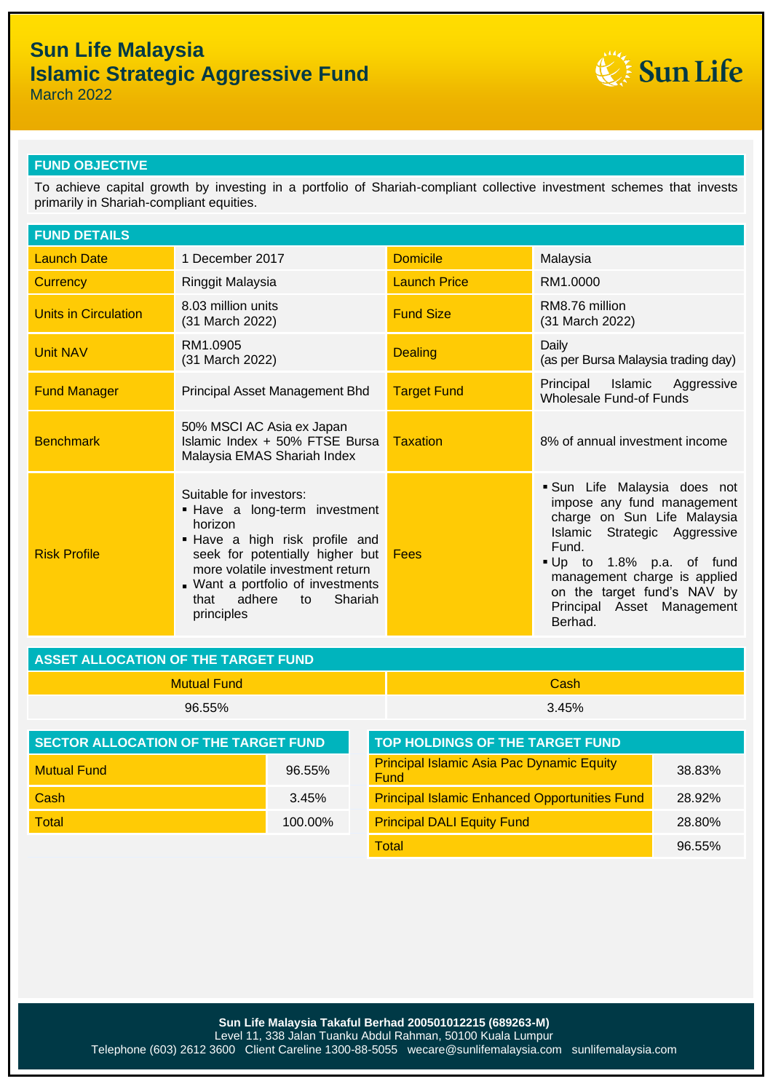# **Sun Life Malaysia Islamic Strategic Aggressive Fund**



March 2022

### **FUND OBJECTIVE**

To achieve capital growth by investing in a portfolio of Shariah-compliant collective investment schemes that invests primarily in Shariah-compliant equities.

| <b>FUND DETAILS</b>  |                                                                                                                                                                                                                                                                |                     |                                                                                                                                                                                                                                                                     |  |
|----------------------|----------------------------------------------------------------------------------------------------------------------------------------------------------------------------------------------------------------------------------------------------------------|---------------------|---------------------------------------------------------------------------------------------------------------------------------------------------------------------------------------------------------------------------------------------------------------------|--|
| <b>Launch Date</b>   | 1 December 2017                                                                                                                                                                                                                                                | <b>Domicile</b>     | Malaysia                                                                                                                                                                                                                                                            |  |
| <b>Currency</b>      | Ringgit Malaysia                                                                                                                                                                                                                                               | <b>Launch Price</b> | RM1.0000                                                                                                                                                                                                                                                            |  |
| Units in Circulation | 8.03 million units<br>(31 March 2022)                                                                                                                                                                                                                          | <b>Fund Size</b>    | RM8.76 million<br>(31 March 2022)                                                                                                                                                                                                                                   |  |
| <b>Unit NAV</b>      | RM1.0905<br>(31 March 2022)                                                                                                                                                                                                                                    | <b>Dealing</b>      | Daily<br>(as per Bursa Malaysia trading day)                                                                                                                                                                                                                        |  |
| <b>Fund Manager</b>  | Principal Asset Management Bhd                                                                                                                                                                                                                                 | <b>Target Fund</b>  | Principal Islamic Aggressive<br><b>Wholesale Fund-of Funds</b>                                                                                                                                                                                                      |  |
| <b>Benchmark</b>     | 50% MSCI AC Asia ex Japan<br>Islamic Index + 50% FTSE Bursa<br>Malaysia EMAS Shariah Index                                                                                                                                                                     | <b>Taxation</b>     | 8% of annual investment income                                                                                                                                                                                                                                      |  |
| <b>Risk Profile</b>  | Suitable for investors:<br>. Have a long-term investment<br>horizon<br>. Have a high risk profile and<br>seek for potentially higher but<br>more volatile investment return<br>. Want a portfolio of investments<br>that adhere<br>Shariah<br>to<br>principles | Fees                | Sun Life Malaysia does not<br>impose any fund management<br>charge on Sun Life Malaysia<br>Islamic Strategic Aggressive<br>Fund.<br>Up to 1.8% p.a. of fund<br>management charge is applied<br>on the target fund's NAV by<br>Principal Asset Management<br>Berhad. |  |

| ASSET ALLOCATION OF THE TARGET FUND |       |  |  |
|-------------------------------------|-------|--|--|
| Mutual Fund                         | Cash  |  |  |
| $96.55\%$                           | 3.45% |  |  |

| <b>SECTOR ALLOCATION OF THE TARGET FUND</b> |            | <b>TOP HOLDINGS OF THE TARGET FUND</b>                          |        |  |
|---------------------------------------------|------------|-----------------------------------------------------------------|--------|--|
| <b>Mutual Fund</b>                          | $96.55\%$  | <b>Principal Islamic Asia Pac Dynamic Equity</b><br><b>Fund</b> | 38.83% |  |
| Cash                                        | 3.45%      | <b>Principal Islamic Enhanced Opportunities Fund</b>            | 28.92% |  |
| <b>Total</b>                                | $100.00\%$ | <b>Principal DALI Equity Fund</b>                               | 28.80% |  |

| <b>TOP HOLDINGS OF THE TARGET FUND</b>                   |        |
|----------------------------------------------------------|--------|
| <b>Principal Islamic Asia Pac Dynamic Equity</b><br>Fund | 38.83% |
| <b>Principal Islamic Enhanced Opportunities Fund</b>     | 28.92% |
| <b>Principal DALI Equity Fund</b>                        | 28.80% |
| <b>Total</b>                                             | 96.55% |

**Sun Life Malaysia Takaful Berhad 200501012215 (689263-M)** Level 11, 338 Jalan Tuanku Abdul Rahman, 50100 Kuala Lumpur Telephone (603) 2612 3600 Client Careline 1300-88-5055 wecare@sunlifemalaysia.com sunlifemalaysia.com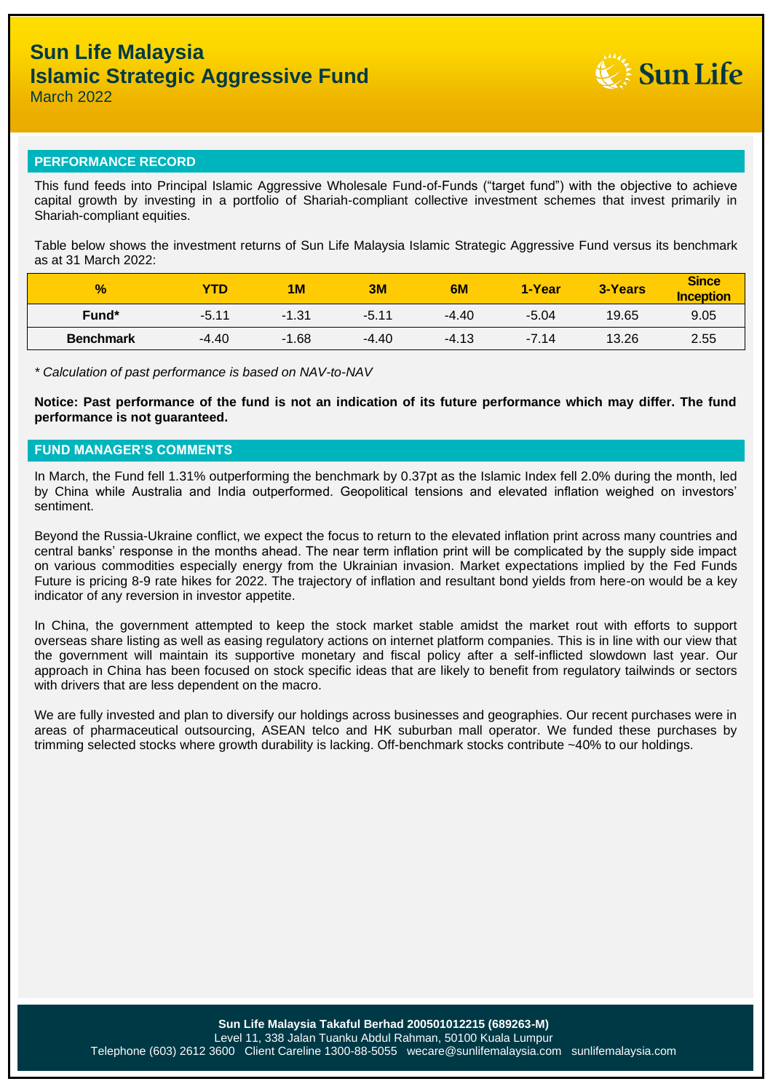

#### **PERFORMANCE RECORD**

This fund feeds into Principal Islamic Aggressive Wholesale Fund-of-Funds ("target fund") with the objective to achieve capital growth by investing in a portfolio of Shariah-compliant collective investment schemes that invest primarily in Shariah-compliant equities.

Table below shows the investment returns of Sun Life Malaysia Islamic Strategic Aggressive Fund versus its benchmark as at 31 March 2022:

| $\frac{9}{6}$    | <b>YTD</b> | 1 <sub>M</sub> | 3M      | 6M      | 1-Year  | <b>3-Years</b> | <b>Since</b><br><b>Inception</b> |
|------------------|------------|----------------|---------|---------|---------|----------------|----------------------------------|
| Fund*            | $-5.11$    | $-1.31$        | $-5.11$ | $-4.40$ | $-5.04$ | 19.65          | 9.05                             |
| <b>Benchmark</b> | $-4.40$    | -1.68<br>- 1   | $-4.40$ | $-4.13$ | $-7.14$ | 13.26          | 2.55                             |

*\* Calculation of past performance is based on NAV-to-NAV*

**Notice: Past performance of the fund is not an indication of its future performance which may differ. The fund performance is not guaranteed.**

### **FUND MANAGER'S COMMENTS**

In March, the Fund fell 1.31% outperforming the benchmark by 0.37pt as the Islamic Index fell 2.0% during the month, led by China while Australia and India outperformed. Geopolitical tensions and elevated inflation weighed on investors' sentiment.

Beyond the Russia-Ukraine conflict, we expect the focus to return to the elevated inflation print across many countries and central banks' response in the months ahead. The near term inflation print will be complicated by the supply side impact on various commodities especially energy from the Ukrainian invasion. Market expectations implied by the Fed Funds Future is pricing 8-9 rate hikes for 2022. The trajectory of inflation and resultant bond yields from here-on would be a key indicator of any reversion in investor appetite.

In China, the government attempted to keep the stock market stable amidst the market rout with efforts to support overseas share listing as well as easing regulatory actions on internet platform companies. This is in line with our view that the government will maintain its supportive monetary and fiscal policy after a self-inflicted slowdown last year. Our approach in China has been focused on stock specific ideas that are likely to benefit from regulatory tailwinds or sectors with drivers that are less dependent on the macro.

We are fully invested and plan to diversify our holdings across businesses and geographies. Our recent purchases were in areas of pharmaceutical outsourcing, ASEAN telco and HK suburban mall operator. We funded these purchases by trimming selected stocks where growth durability is lacking. Off-benchmark stocks contribute ~40% to our holdings.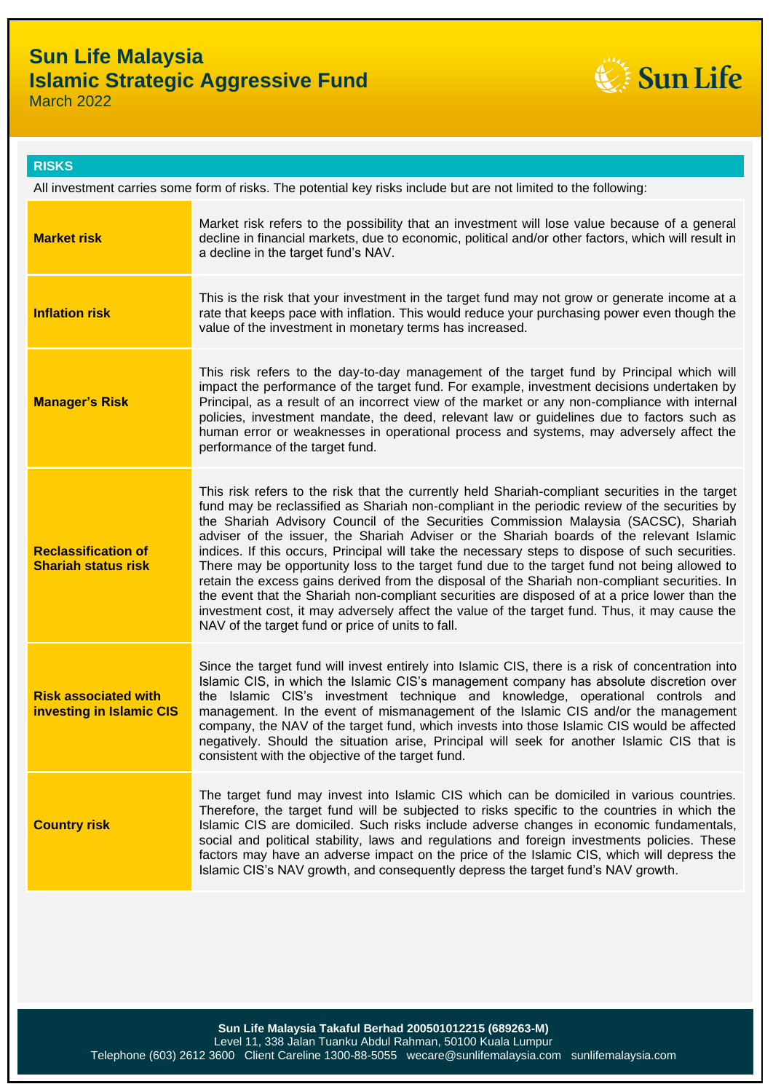## **Sun Life Malaysia Islamic Strategic Aggressive Fund**



March 2022

| <b>RISKS</b>                                                                                                     |                                                                                                                                                                                                                                                                                                                                                                                                                                                                                                                                                                                                                                                                                                                                                                                                                                                                                                                                                |  |  |
|------------------------------------------------------------------------------------------------------------------|------------------------------------------------------------------------------------------------------------------------------------------------------------------------------------------------------------------------------------------------------------------------------------------------------------------------------------------------------------------------------------------------------------------------------------------------------------------------------------------------------------------------------------------------------------------------------------------------------------------------------------------------------------------------------------------------------------------------------------------------------------------------------------------------------------------------------------------------------------------------------------------------------------------------------------------------|--|--|
| All investment carries some form of risks. The potential key risks include but are not limited to the following: |                                                                                                                                                                                                                                                                                                                                                                                                                                                                                                                                                                                                                                                                                                                                                                                                                                                                                                                                                |  |  |
| <b>Market risk</b>                                                                                               | Market risk refers to the possibility that an investment will lose value because of a general<br>decline in financial markets, due to economic, political and/or other factors, which will result in<br>a decline in the target fund's NAV.                                                                                                                                                                                                                                                                                                                                                                                                                                                                                                                                                                                                                                                                                                    |  |  |
| <b>Inflation risk</b>                                                                                            | This is the risk that your investment in the target fund may not grow or generate income at a<br>rate that keeps pace with inflation. This would reduce your purchasing power even though the<br>value of the investment in monetary terms has increased.                                                                                                                                                                                                                                                                                                                                                                                                                                                                                                                                                                                                                                                                                      |  |  |
| <b>Manager's Risk</b>                                                                                            | This risk refers to the day-to-day management of the target fund by Principal which will<br>impact the performance of the target fund. For example, investment decisions undertaken by<br>Principal, as a result of an incorrect view of the market or any non-compliance with internal<br>policies, investment mandate, the deed, relevant law or guidelines due to factors such as<br>human error or weaknesses in operational process and systems, may adversely affect the<br>performance of the target fund.                                                                                                                                                                                                                                                                                                                                                                                                                              |  |  |
| <b>Reclassification of</b><br><b>Shariah status risk</b>                                                         | This risk refers to the risk that the currently held Shariah-compliant securities in the target<br>fund may be reclassified as Shariah non-compliant in the periodic review of the securities by<br>the Shariah Advisory Council of the Securities Commission Malaysia (SACSC), Shariah<br>adviser of the issuer, the Shariah Adviser or the Shariah boards of the relevant Islamic<br>indices. If this occurs, Principal will take the necessary steps to dispose of such securities.<br>There may be opportunity loss to the target fund due to the target fund not being allowed to<br>retain the excess gains derived from the disposal of the Shariah non-compliant securities. In<br>the event that the Shariah non-compliant securities are disposed of at a price lower than the<br>investment cost, it may adversely affect the value of the target fund. Thus, it may cause the<br>NAV of the target fund or price of units to fall. |  |  |
| <b>Risk associated with</b><br>investing in Islamic CIS                                                          | Since the target fund will invest entirely into Islamic CIS, there is a risk of concentration into<br>Islamic CIS, in which the Islamic CIS's management company has absolute discretion over<br>the Islamic CIS's investment technique and knowledge, operational controls and<br>management. In the event of mismanagement of the Islamic CIS and/or the management<br>company, the NAV of the target fund, which invests into those Islamic CIS would be affected<br>negatively. Should the situation arise, Principal will seek for another Islamic CIS that is<br>consistent with the objective of the target fund.                                                                                                                                                                                                                                                                                                                       |  |  |
| <b>Country risk</b>                                                                                              | The target fund may invest into Islamic CIS which can be domiciled in various countries.<br>Therefore, the target fund will be subjected to risks specific to the countries in which the<br>Islamic CIS are domiciled. Such risks include adverse changes in economic fundamentals,<br>social and political stability, laws and regulations and foreign investments policies. These<br>factors may have an adverse impact on the price of the Islamic CIS, which will depress the<br>Islamic CIS's NAV growth, and consequently depress the target fund's NAV growth.                                                                                                                                                                                                                                                                                                                                                                          |  |  |